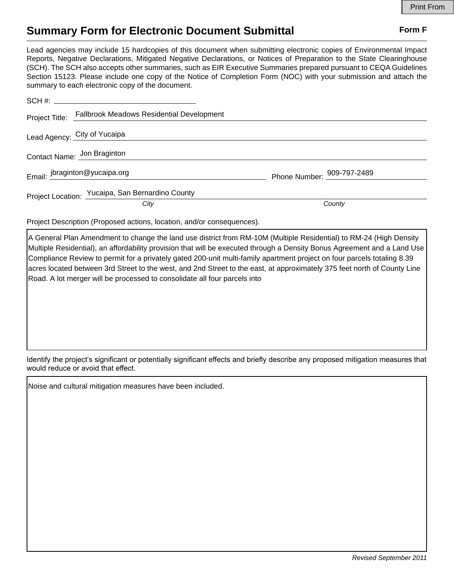## **Summary Form for Electronic Document Submittal Form F Form F**

Lead agencies may include 15 hardcopies of this document when submitting electronic copies of Environmental Impact Reports, Negative Declarations, Mitigated Negative Declarations, or Notices of Preparation to the State Clearinghouse (SCH). The SCH also accepts other summaries, such as EIR Executive Summaries prepared pursuant to CEQA Guidelines Section 15123. Please include one copy of the Notice of Completion Form (NOC) with your submission and attach the summary to each electronic copy of the document.

|                             | Project Title: Fallbrook Meadows Residential Development |                            |
|-----------------------------|----------------------------------------------------------|----------------------------|
|                             | Lead Agency: City of Yucaipa                             |                            |
| Contact Name: Jon Braginton |                                                          |                            |
|                             | Email: jbraginton@yucaipa.org                            | Phone Number: 909-797-2489 |
|                             | Project Location: Yucaipa, San Bernardino County         |                            |
|                             | City                                                     | County                     |

Project Description (Proposed actions, location, and/or consequences).

A General Plan Amendment to change the land use district from RM-10M (Multiple Residential) to RM-24 (High Density Multiple Residential), an affordability provision that will be executed through a Density Bonus Agreement and a Land Use Compliance Review to permit for a privately gated 200-unit multi-family apartment project on four parcels totaling 8.39 acres located between 3rd Street to the west, and 2nd Street to the east, at approximately 375 feet north of County Line Road. A lot merger will be processed to consolidate all four parcels into

Identify the project's significant or potentially significant effects and briefly describe any proposed mitigation measures that would reduce or avoid that effect.

Noise and cultural mitigation measures have been included.